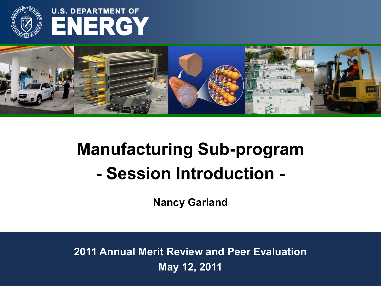

## **U.S. DEPARTMENT OF ENERGY**



# **Manufacturing Sub-program - Session Introduction -**

**Nancy Garland**

**2011 Annual Merit Review and Peer Evaluation May 12, 2011**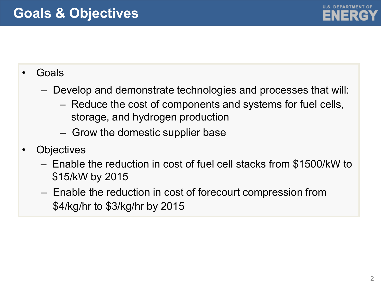

### • Goals

- Develop and demonstrate technologies and processes that will:
	- Reduce the cost of components and systems for fuel cells, storage, and hydrogen production
	- Grow the domestic supplier base
- **Objectives** 
	- Enable the reduction in cost of fuel cell stacks from \$1500/kW to \$15/kW by 2015
	- Enable the reduction in cost of forecourt compression from \$4/kg/hr to \$3/kg/hr by 2015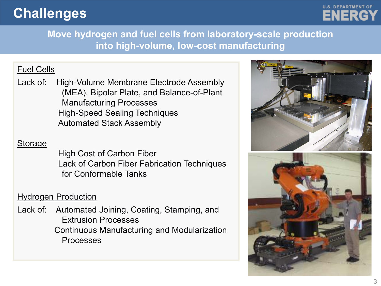## **Challenges**



**Move hydrogen and fuel cells from laboratory-scale production into high-volume, low-cost manufacturing**

#### Fuel Cells

Lack of: High-Volume Membrane Electrode Assembly (MEA), Bipolar Plate, and Balance-of-Plant Manufacturing Processes High-Speed Sealing Techniques Automated Stack Assembly

#### Storage

High Cost of Carbon Fiber Lack of Carbon Fiber Fabrication Techniques for Conformable Tanks

#### Hydrogen Production

Lack of: Automated Joining, Coating, Stamping, and Extrusion Processes Continuous Manufacturing and Modularization Processes



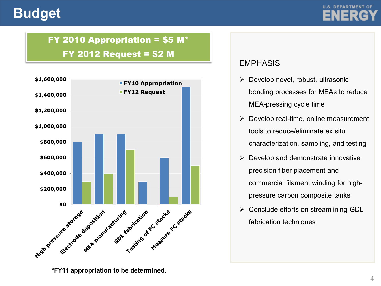### **Budget**



### FY 2010 Appropriation = \$5 M\*

#### FY 2012 Request = \$2 M



**\*FY11 appropriation to be determined.**

#### EMPHASIS

- $\triangleright$  Develop novel, robust, ultrasonic bonding processes for MEAs to reduce MEA-pressing cycle time
- $\triangleright$  Develop real-time, online measurement tools to reduce/eliminate ex situ characterization, sampling, and testing
- $\triangleright$  Develop and demonstrate innovative precision fiber placement and commercial filament winding for highpressure carbon composite tanks
- $\triangleright$  Conclude efforts on streamlining GDL fabrication techniques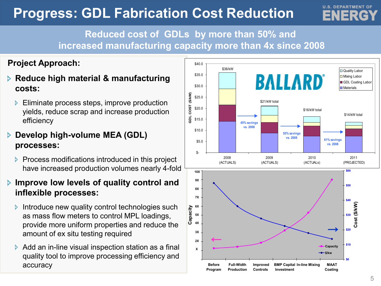## **Progress: GDL Fabrication Cost Reduction**

### **Reduced cost of GDLs by more than 50% and increased manufacturing capacity more than 4x since 2008**

#### **Project Approach:**

- **Reduce high material & manufacturing costs:** 
	- **Eliminate process steps, improve production** yields, reduce scrap and increase production efficiency

#### **Develop high-volume MEA (GDL) processes:**

**Process modifications introduced in this project** have increased production volumes nearly 4-fold

#### **Improve low levels of quality control and inflexible processes:**

- Introduce new quality control technologies such as mass flow meters to control MPL loadings, provide more uniform properties and reduce the amount of ex situ testing required
- $\triangleright$  Add an in-line visual inspection station as a final quality tool to improve processing efficiency and accuracy



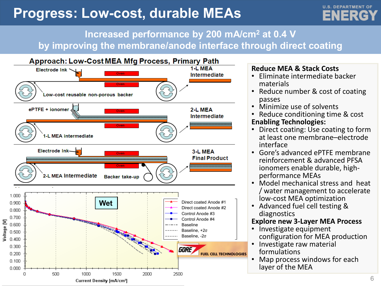## **Progress: Low-cost, durable MEAs**



### **Increased performance by 200 mA/cm2 at 0.4 V by improving the membrane/anode interface through direct coating**



#### **Reduce MEA & Stack Costs**

- Eliminate intermediate backer materials
- Reduce number & cost of coating passes
- Minimize use of solvents
- Reduce conditioning time & cost **Enabling Technologies:**
- Direct coating: Use coating to form at least one membrane–electrode interface
- Gore's advanced ePTFE membrane reinforcement & advanced PFSA ionomers enable durable, high- performance MEAs
- Model mechanical stress and heat / water management to accelerate low-cost MEA optimization
- Advanced fuel cell testing & diagnostics

#### **Explore new 3-Layer MEA Process**

- Investigate equipment configuration for MEA production
- Investigate raw material formulations
- Map process windows for each layer of the MEA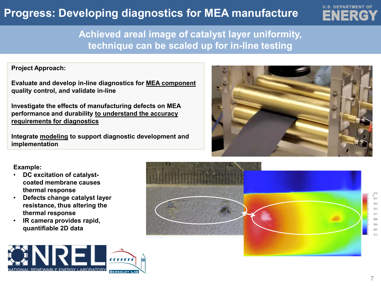### **Progress: Developing diagnostics for MEA manufacture**



### **Achieved areal image of catalyst layer uniformity, technique can be scaled up for in-line testing**

#### **Project Approach:**

**Evaluate and develop in-line diagnostics for MEA component quality control, and validate in-line**

**Investigate the effects of manufacturing defects on MEA performance and durability to understand the accuracy requirements for diagnostics**

**Integrate modeling to support diagnostic development and implementation**



#### **Example:**

- **DC excitation of catalystcoated membrane causes thermal response**
- **Defects change catalyst layer resistance, thus altering the thermal response**
- **IR camera provides rapid, quantifiable 2D data**



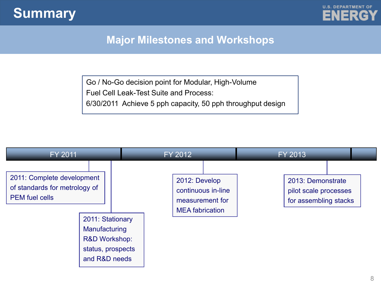



### **Major Milestones and Workshops**

Go / No-Go decision point for Modular, High-Volume Fuel Cell Leak-Test Suite and Process: 6/30/2011 Achieve 5 pph capacity, 50 pph throughput design

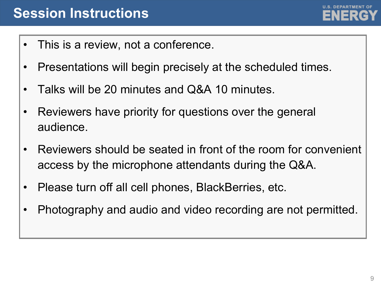

- This is a review, not a conference.
- Presentations will begin precisely at the scheduled times.
- Talks will be 20 minutes and Q&A 10 minutes.
- Reviewers have priority for questions over the general audience.
- Reviewers should be seated in front of the room for convenient access by the microphone attendants during the Q&A.
- Please turn off all cell phones, BlackBerries, etc.
- Photography and audio and video recording are not permitted.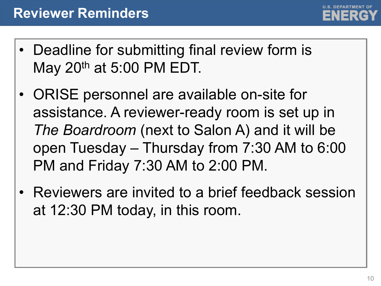

- Deadline for submitting final review form is May 20th at 5:00 PM EDT.
- ORISE personnel are available on-site for assistance. A reviewer-ready room is set up in *The Boardroom* (next to Salon A) and it will be open Tuesday – Thursday from 7:30 AM to 6:00 PM and Friday 7:30 AM to 2:00 PM.
- Reviewers are invited to a brief feedback session at 12:30 PM today, in this room.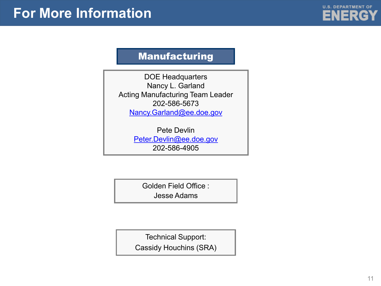

#### Manufacturing

DOE Headquarters Nancy L. Garland Acting Manufacturing Team Leader 202-586-5673 [Nancy.Garland@ee.doe.gov](mailto:nancy.garland@ee.doe.gov)

> Pete Devlin [Peter.Devlin@ee.doe.gov](mailto:Pete.devlin@ee.doe.gov) 202-586-4905

> > Golden Field Office :

Jesse Adams

Technical Support:

Cassidy Houchins (SRA)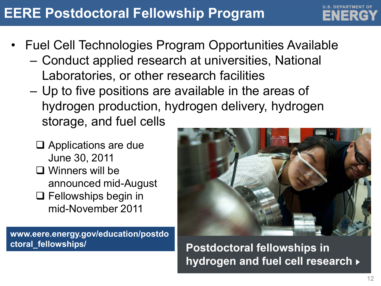## **EERE Postdoctoral Fellowship Program**

- Fuel Cell Technologies Program Opportunities Available
	- Conduct applied research at universities, National Laboratories, or other research facilities
	- Up to five positions are available in the areas of hydrogen production, hydrogen delivery, hydrogen storage, and fuel cells
		- □ Applications are due June 30, 2011
		- Winners will be announced mid-August
		- □ Fellowships begin in mid-November 2011

**www.eere.energy.gov/education/postdo ctoral\_fellowships/**